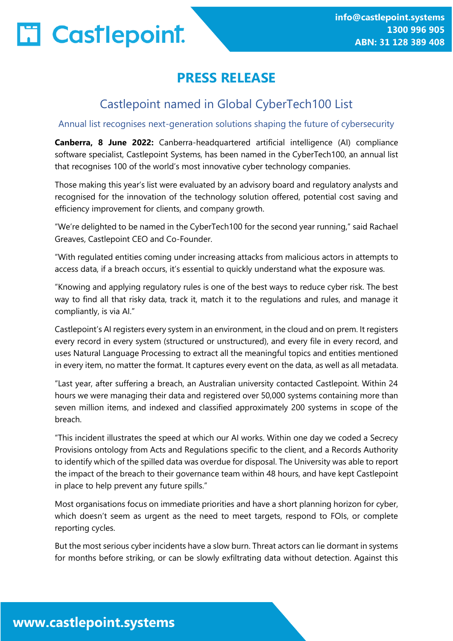# **PRESS RELEASE**

## Castlepoint named in Global CyberTech100 List

### Annual list recognises next-generation solutions shaping the future of cybersecurity

**Canberra, 8 June 2022:** Canberra-headquartered artificial intelligence (AI) compliance software specialist, Castlepoint Systems, has been named in the CyberTech100, an annual list that recognises 100 of the world's most innovative cyber technology companies.

Those making this year's list were evaluated by an advisory board and regulatory analysts and recognised for the innovation of the technology solution offered, potential cost saving and efficiency improvement for clients, and company growth.

"We're delighted to be named in the CyberTech100 for the second year running," said Rachael Greaves, Castlepoint CEO and Co-Founder.

"With regulated entities coming under increasing attacks from malicious actors in attempts to access data, if a breach occurs, it's essential to quickly understand what the exposure was.

"Knowing and applying regulatory rules is one of the best ways to reduce cyber risk. The best way to find all that risky data, track it, match it to the regulations and rules, and manage it compliantly, is via AI."

Castlepoint's AI registers every system in an environment, in the cloud and on prem. It registers every record in every system (structured or unstructured), and every file in every record, and uses Natural Language Processing to extract all the meaningful topics and entities mentioned in every item, no matter the format. It captures every event on the data, as well as all metadata.

"Last year, after suffering a breach, an Australian university contacted Castlepoint. Within 24 hours we were managing their data and registered over 50,000 systems containing more than seven million items, and indexed and classified approximately 200 systems in scope of the breach.

"This incident illustrates the speed at which our AI works. Within one day we coded a Secrecy Provisions ontology from Acts and Regulations specific to the client, and a Records Authority to identify which of the spilled data was overdue for disposal. The University was able to report the impact of the breach to their governance team within 48 hours, and have kept Castlepoint in place to help prevent any future spills."

Most organisations focus on immediate priorities and have a short planning horizon for cyber, which doesn't seem as urgent as the need to meet targets, respond to FOIs, or complete reporting cycles.

But the most serious cyber incidents have a slow burn. Threat actors can lie dormant in systems for months before striking, or can be slowly exfiltrating data without detection. Against this